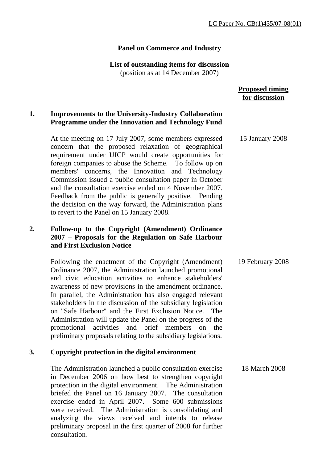## **Panel on Commerce and Industry**

# **List of outstanding items for discussion**

(position as at 14 December 2007)

#### **Proposed timing for discussion**

### **1. Improvements to the University-Industry Collaboration Programme under the Innovation and Technology Fund**

 At the meeting on 17 July 2007, some members expressed concern that the proposed relaxation of geographical requirement under UICP would create opportunities for foreign companies to abuse the Scheme. To follow up on members' concerns, the Innovation and Technology Commission issued a public consultation paper in October and the consultation exercise ended on 4 November 2007. Feedback from the public is generally positive. Pending the decision on the way forward, the Administration plans to revert to the Panel on 15 January 2008. 15 January 2008

## **2. Follow-up to the Copyright (Amendment) Ordinance 2007 – Proposals for the Regulation on Safe Harbour and First Exclusion Notice**

 Following the enactment of the Copyright (Amendment) Ordinance 2007, the Administration launched promotional and civic education activities to enhance stakeholders' awareness of new provisions in the amendment ordinance. In parallel, the Administration has also engaged relevant stakeholders in the discussion of the subsidiary legislation on "Safe Harbour" and the First Exclusion Notice. The Administration will update the Panel on the progress of the promotional activities and brief members on the preliminary proposals relating to the subsidiary legislations. 19 February 2008

## **3. Copyright protection in the digital environment**

The Administration launched a public consultation exercise in December 2006 on how best to strengthen copyright protection in the digital environment. The Administration briefed the Panel on 16 January 2007. The consultation exercise ended in April 2007. Some 600 submissions were received. The Administration is consolidating and analyzing the views received and intends to release preliminary proposal in the first quarter of 2008 for further consultation. 18 March 2008